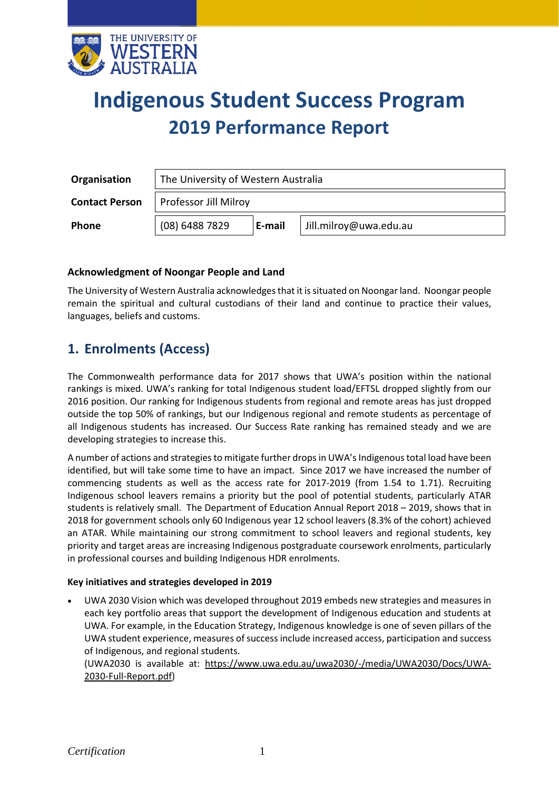

# **Indigenous Student Success Program 2019 Performance Report**

| <b>Organisation</b>   | The University of Western Australia |        |                        |  |  |  |
|-----------------------|-------------------------------------|--------|------------------------|--|--|--|
| <b>Contact Person</b> | Professor Jill Milroy               |        |                        |  |  |  |
| Phone                 | (08) 6488 7829                      | E-mail | Jill.milroy@uwa.edu.au |  |  |  |

### **Acknowledgment of Noongar People and Land**

The University of Western Australia acknowledges that it is situated on Noongar land. Noongar people remain the spiritual and cultural custodians of their land and continue to practice their values, languages, beliefs and customs.

## **1. Enrolments (Access)**

The Commonwealth performance data for 2017 shows that UWA's position within the national rankings is mixed. UWA's ranking for total Indigenous student load/EFTSL dropped slightly from our 2016 position. Our ranking for Indigenous students from regional and remote areas has just dropped outside the top 50% of rankings, but our Indigenous regional and remote students as percentage of all Indigenous students has increased. Our Success Rate ranking has remained steady and we are developing strategies to increase this.

A number of actions and strategies to mitigate further drops in UWA's Indigenous total load have been identified, but will take some time to have an impact. Since 2017 we have increased the number of commencing students as well as the access rate for 2017-2019 (from 1.54 to 1.71). Recruiting Indigenous school leavers remains a priority but the pool of potential students, particularly ATAR students is relatively small. The Department of Education Annual Report 2018 – 2019, shows that in 2018 for government schools only 60 Indigenous year 12 school leavers (8.3% of the cohort) achieved an ATAR. While maintaining our strong commitment to school leavers and regional students, key priority and target areas are increasing Indigenous postgraduate coursework enrolments, particularly in professional courses and building Indigenous HDR enrolments.

### **Key initiatives and strategies developed in 2019**

• UWA 2030 Vision which was developed throughout 2019 embeds new strategies and measures in each key portfolio areas that support the development of Indigenous education and students at UWA. For example, in the Education Strategy, Indigenous knowledge is one of seven pillars of the UWA student experience, measures of success include increased access, participation and success of Indigenous, and regional students.

(UWA2030 is available at: [https://www.uwa.edu.au/uwa2030/-/media/UWA2030/Docs/UWA-](https://www.uwa.edu.au/uwa2030/-/media/UWA2030/Docs/UWA-2030-Full-Report.pdf)[2030-Full-Report.pdf\)](https://www.uwa.edu.au/uwa2030/-/media/UWA2030/Docs/UWA-2030-Full-Report.pdf)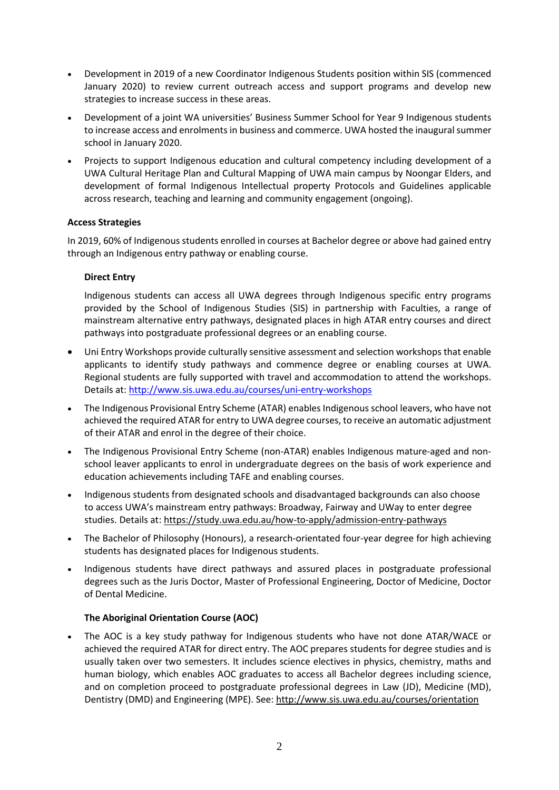- Development in 2019 of a new Coordinator Indigenous Students position within SIS (commenced January 2020) to review current outreach access and support programs and develop new strategies to increase success in these areas.
- Development of a joint WA universities' Business Summer School for Year 9 Indigenous students to increase access and enrolments in business and commerce. UWA hosted the inaugural summer school in January 2020.
- Projects to support Indigenous education and cultural competency including development of a UWA Cultural Heritage Plan and Cultural Mapping of UWA main campus by Noongar Elders, and development of formal Indigenous Intellectual property Protocols and Guidelines applicable across research, teaching and learning and community engagement (ongoing).

### **Access Strategies**

In 2019, 60% of Indigenous students enrolled in courses at Bachelor degree or above had gained entry through an Indigenous entry pathway or enabling course.

### **Direct Entry**

Indigenous students can access all UWA degrees through Indigenous specific entry programs provided by the School of Indigenous Studies (SIS) in partnership with Faculties, a range of mainstream alternative entry pathways, designated places in high ATAR entry courses and direct pathways into postgraduate professional degrees or an enabling course.

- Uni Entry Workshops provide culturally sensitive assessment and selection workshops that enable applicants to identify study pathways and commence degree or enabling courses at UWA. Regional students are fully supported with travel and accommodation to attend the workshops. Details at:<http://www.sis.uwa.edu.au/courses/uni-entry-workshops>
- The Indigenous Provisional Entry Scheme (ATAR) enables Indigenous school leavers, who have not achieved the required ATAR for entry to UWA degree courses, to receive an automatic adjustment of their ATAR and enrol in the degree of their choice.
- The Indigenous Provisional Entry Scheme (non-ATAR) enables Indigenous mature-aged and nonschool leaver applicants to enrol in undergraduate degrees on the basis of work experience and education achievements including TAFE and enabling courses.
- Indigenous students from designated schools and disadvantaged backgrounds can also choose to access UWA's mainstream entry pathways: Broadway, Fairway and UWay to enter degree studies. Details at: <https://study.uwa.edu.au/how-to-apply/admission-entry-pathways>
- The Bachelor of Philosophy (Honours), a research-orientated four-year degree for high achieving students has designated places for Indigenous students.
- Indigenous students have direct pathways and assured places in postgraduate professional degrees such as the Juris Doctor, Master of Professional Engineering, Doctor of Medicine, Doctor of Dental Medicine.

### **The Aboriginal Orientation Course (AOC)**

• The AOC is a key study pathway for Indigenous students who have not done ATAR/WACE or achieved the required ATAR for direct entry. The AOC prepares students for degree studies and is usually taken over two semesters. It includes science electives in physics, chemistry, maths and human biology, which enables AOC graduates to access all Bachelor degrees including science, and on completion proceed to postgraduate professional degrees in Law (JD), Medicine (MD), Dentistry (DMD) and Engineering (MPE). See:<http://www.sis.uwa.edu.au/courses/orientation>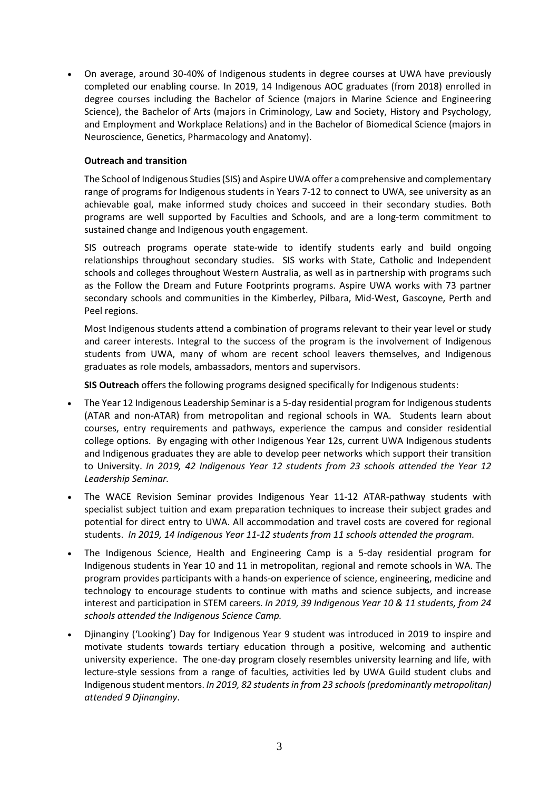• On average, around 30-40% of Indigenous students in degree courses at UWA have previously completed our enabling course. In 2019, 14 Indigenous AOC graduates (from 2018) enrolled in degree courses including the Bachelor of Science (majors in Marine Science and Engineering Science), the Bachelor of Arts (majors in Criminology, Law and Society, History and Psychology, and Employment and Workplace Relations) and in the Bachelor of Biomedical Science (majors in Neuroscience, Genetics, Pharmacology and Anatomy).

### **Outreach and transition**

The School of Indigenous Studies (SIS) and Aspire UWA offer a comprehensive and complementary range of programs for Indigenous students in Years 7-12 to connect to UWA, see university as an achievable goal, make informed study choices and succeed in their secondary studies. Both programs are well supported by Faculties and Schools, and are a long-term commitment to sustained change and Indigenous youth engagement.

SIS outreach programs operate state-wide to identify students early and build ongoing relationships throughout secondary studies. SIS works with State, Catholic and Independent schools and colleges throughout Western Australia, as well as in partnership with programs such as the Follow the Dream and Future Footprints programs. Aspire UWA works with 73 partner secondary schools and communities in the Kimberley, Pilbara, Mid-West, Gascoyne, Perth and Peel regions.

Most Indigenous students attend a combination of programs relevant to their year level or study and career interests. Integral to the success of the program is the involvement of Indigenous students from UWA, many of whom are recent school leavers themselves, and Indigenous graduates as role models, ambassadors, mentors and supervisors.

**SIS Outreach** offers the following programs designed specifically for Indigenous students:

- The Year 12 Indigenous Leadership Seminar is a 5-day residential program for Indigenous students (ATAR and non-ATAR) from metropolitan and regional schools in WA. Students learn about courses, entry requirements and pathways, experience the campus and consider residential college options. By engaging with other Indigenous Year 12s, current UWA Indigenous students and Indigenous graduates they are able to develop peer networks which support their transition to University. *In 2019, 42 Indigenous Year 12 students from 23 schools attended the Year 12 Leadership Seminar.*
- The WACE Revision Seminar provides Indigenous Year 11-12 ATAR-pathway students with specialist subject tuition and exam preparation techniques to increase their subject grades and potential for direct entry to UWA. All accommodation and travel costs are covered for regional students. *In 2019, 14 Indigenous Year 11-12 students from 11 schools attended the program.*
- The Indigenous Science, Health and Engineering Camp is a 5-day residential program for Indigenous students in Year 10 and 11 in metropolitan, regional and remote schools in WA. The program provides participants with a hands-on experience of science, engineering, medicine and technology to encourage students to continue with maths and science subjects, and increase interest and participation in STEM careers. *In 2019, 39 Indigenous Year 10 & 11 students, from 24 schools attended the Indigenous Science Camp.*
- Djinanginy ('Looking') Day for Indigenous Year 9 student was introduced in 2019 to inspire and motivate students towards tertiary education through a positive, welcoming and authentic university experience. The one-day program closely resembles university learning and life, with lecture-style sessions from a range of faculties, activities led by UWA Guild student clubs and Indigenous student mentors. *In 2019, 82 studentsin from 23 schools (predominantly metropolitan) attended 9 Djinanginy*.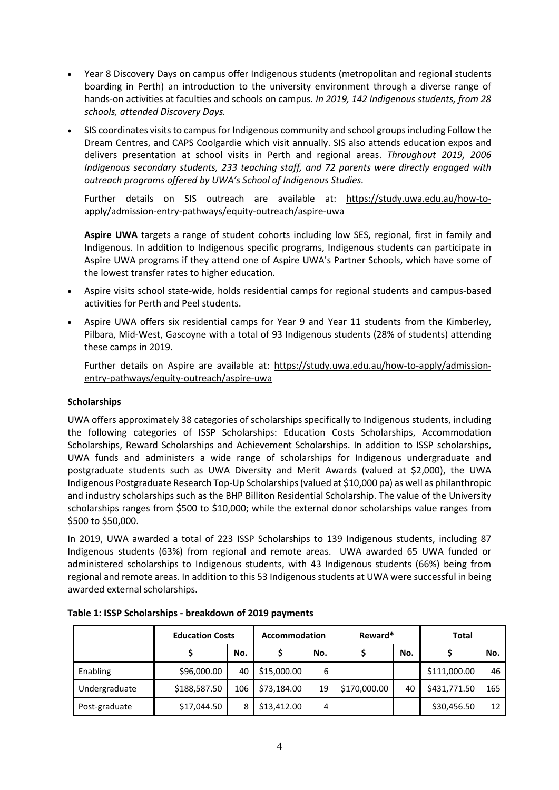- Year 8 Discovery Days on campus offer Indigenous students (metropolitan and regional students boarding in Perth) an introduction to the university environment through a diverse range of hands-on activities at faculties and schools on campus. *In 2019, 142 Indigenous students, from 28 schools, attended Discovery Days.*
- SIS coordinates visits to campus for Indigenous community and school groups including Follow the Dream Centres, and CAPS Coolgardie which visit annually. SIS also attends education expos and delivers presentation at school visits in Perth and regional areas. *Throughout 2019, 2006 Indigenous secondary students, 233 teaching staff, and 72 parents were directly engaged with outreach programs offered by UWA's School of Indigenous Studies.*

Further details on SIS outreach are available at: [https://study.uwa.edu.au/how-to](https://study.uwa.edu.au/how-to-apply/admission-entry-pathways/equity-outreach/aspire-uwa)[apply/admission-entry-pathways/equity-outreach/aspire-uwa](https://study.uwa.edu.au/how-to-apply/admission-entry-pathways/equity-outreach/aspire-uwa)

**Aspire UWA** targets a range of student cohorts including low SES, regional, first in family and Indigenous. In addition to Indigenous specific programs, Indigenous students can participate in Aspire UWA programs if they attend one of Aspire UWA's Partner Schools, which have some of the lowest transfer rates to higher education.

- Aspire visits school state-wide, holds residential camps for regional students and campus-based activities for Perth and Peel students.
- Aspire UWA offers six residential camps for Year 9 and Year 11 students from the Kimberley, Pilbara, Mid-West, Gascoyne with a total of 93 Indigenous students (28% of students) attending these camps in 2019.

Further details on Aspire are available at: [https://study.uwa.edu.au/how-to-apply/admission](https://study.uwa.edu.au/how-to-apply/admission-entry-pathways/equity-outreach/aspire-uwa)[entry-pathways/equity-outreach/aspire-uwa](https://study.uwa.edu.au/how-to-apply/admission-entry-pathways/equity-outreach/aspire-uwa)

### **Scholarships**

UWA offers approximately 38 categories of scholarships specifically to Indigenous students, including the following categories of ISSP Scholarships: Education Costs Scholarships, Accommodation Scholarships, Reward Scholarships and Achievement Scholarships. In addition to ISSP scholarships, UWA funds and administers a wide range of scholarships for Indigenous undergraduate and postgraduate students such as UWA Diversity and Merit Awards (valued at \$2,000), the UWA Indigenous Postgraduate Research Top-Up Scholarships (valued at \$10,000 pa) as well as philanthropic and industry scholarships such as the BHP Billiton Residential Scholarship. The value of the University scholarships ranges from \$500 to \$10,000; while the external donor scholarships value ranges from \$500 to \$50,000.

In 2019, UWA awarded a total of 223 ISSP Scholarships to 139 Indigenous students, including 87 Indigenous students (63%) from regional and remote areas. UWA awarded 65 UWA funded or administered scholarships to Indigenous students, with 43 Indigenous students (66%) being from regional and remote areas. In addition to this 53 Indigenous students at UWA were successful in being awarded external scholarships.

|               | <b>Education Costs</b> |     | Accommodation |     | Reward*      |     | <b>Total</b> |     |
|---------------|------------------------|-----|---------------|-----|--------------|-----|--------------|-----|
|               |                        | No. |               | No. |              | No. |              | No. |
| Enabling      | \$96,000.00            | 40  | \$15,000.00   | 6   |              |     | \$111,000.00 | 46  |
| Undergraduate | \$188,587.50           | 106 | \$73,184.00   | 19  | \$170,000.00 | 40  | \$431,771.50 | 165 |
| Post-graduate | \$17,044.50            | 8   | \$13,412.00   | 4   |              |     | \$30,456.50  | 12  |

**Table 1: ISSP Scholarships - breakdown of 2019 payments**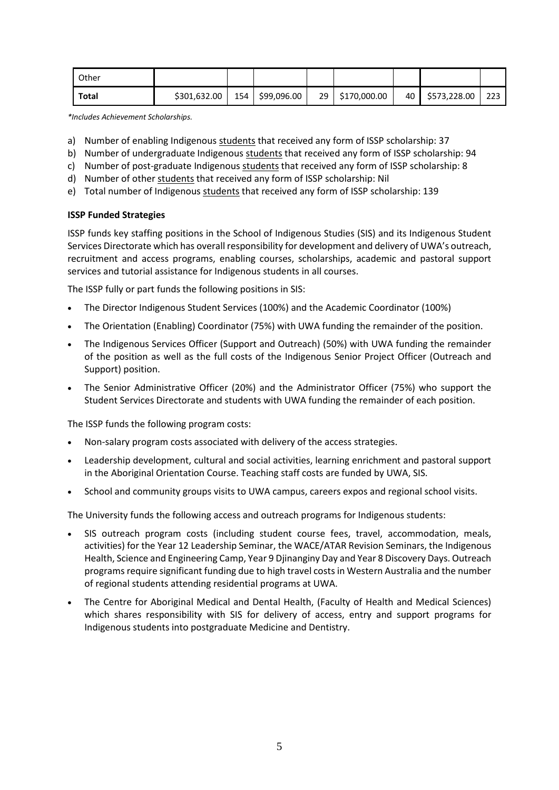| Other |              |     |             |    |              |    |              |     |
|-------|--------------|-----|-------------|----|--------------|----|--------------|-----|
| Total | \$301,632.00 | 154 | \$99,096.00 | 29 | \$170,000.00 | 40 | \$573,228.00 | 223 |

*\*Includes Achievement Scholarships.*

- a) Number of enabling Indigenous students that received any form of ISSP scholarship: 37
- b) Number of undergraduate Indigenous students that received any form of ISSP scholarship: 94
- c) Number of post-graduate Indigenous students that received any form of ISSP scholarship: 8
- d) Number of other students that received any form of ISSP scholarship: Nil
- e) Total number of Indigenous students that received any form of ISSP scholarship: 139

### **ISSP Funded Strategies**

ISSP funds key staffing positions in the School of Indigenous Studies (SIS) and its Indigenous Student Services Directorate which has overall responsibility for development and delivery of UWA's outreach, recruitment and access programs, enabling courses, scholarships, academic and pastoral support services and tutorial assistance for Indigenous students in all courses.

The ISSP fully or part funds the following positions in SIS:

- The Director Indigenous Student Services (100%) and the Academic Coordinator (100%)
- The Orientation (Enabling) Coordinator (75%) with UWA funding the remainder of the position.
- The Indigenous Services Officer (Support and Outreach) (50%) with UWA funding the remainder of the position as well as the full costs of the Indigenous Senior Project Officer (Outreach and Support) position.
- The Senior Administrative Officer (20%) and the Administrator Officer (75%) who support the Student Services Directorate and students with UWA funding the remainder of each position.

The ISSP funds the following program costs:

- Non-salary program costs associated with delivery of the access strategies.
- Leadership development, cultural and social activities, learning enrichment and pastoral support in the Aboriginal Orientation Course. Teaching staff costs are funded by UWA, SIS.
- School and community groups visits to UWA campus, careers expos and regional school visits.

The University funds the following access and outreach programs for Indigenous students:

- SIS outreach program costs (including student course fees, travel, accommodation, meals, activities) for the Year 12 Leadership Seminar, the WACE/ATAR Revision Seminars, the Indigenous Health, Science and Engineering Camp, Year 9 Djinanginy Day and Year 8 Discovery Days. Outreach programs require significant funding due to high travel costs in Western Australia and the number of regional students attending residential programs at UWA.
- The Centre for Aboriginal Medical and Dental Health, (Faculty of Health and Medical Sciences) which shares responsibility with SIS for delivery of access, entry and support programs for Indigenous students into postgraduate Medicine and Dentistry.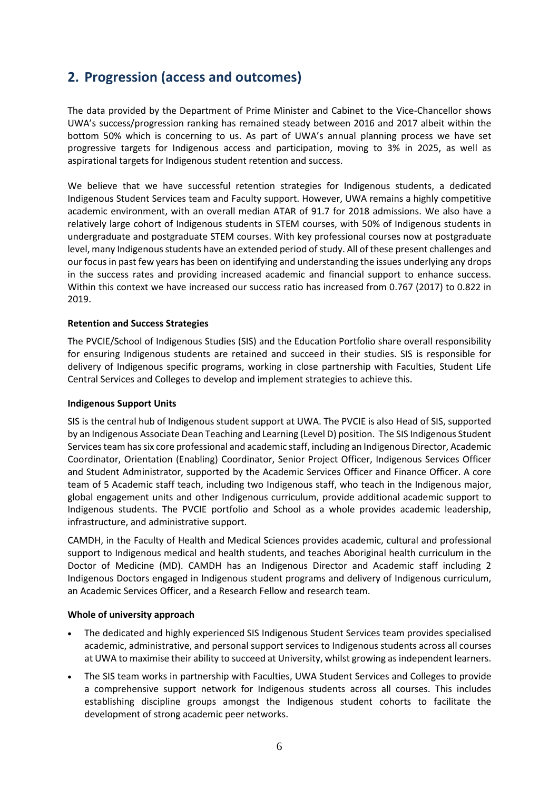## **2. Progression (access and outcomes)**

The data provided by the Department of Prime Minister and Cabinet to the Vice-Chancellor shows UWA's success/progression ranking has remained steady between 2016 and 2017 albeit within the bottom 50% which is concerning to us. As part of UWA's annual planning process we have set progressive targets for Indigenous access and participation, moving to 3% in 2025, as well as aspirational targets for Indigenous student retention and success.

We believe that we have successful retention strategies for Indigenous students, a dedicated Indigenous Student Services team and Faculty support. However, UWA remains a highly competitive academic environment, with an overall median ATAR of 91.7 for 2018 admissions. We also have a relatively large cohort of Indigenous students in STEM courses, with 50% of Indigenous students in undergraduate and postgraduate STEM courses. With key professional courses now at postgraduate level, many Indigenous students have an extended period of study. All of these present challenges and our focus in past few years has been on identifying and understanding the issues underlying any drops in the success rates and providing increased academic and financial support to enhance success. Within this context we have increased our success ratio has increased from 0.767 (2017) to 0.822 in 2019.

### **Retention and Success Strategies**

The PVCIE/School of Indigenous Studies (SIS) and the Education Portfolio share overall responsibility for ensuring Indigenous students are retained and succeed in their studies. SIS is responsible for delivery of Indigenous specific programs, working in close partnership with Faculties, Student Life Central Services and Colleges to develop and implement strategies to achieve this.

### **Indigenous Support Units**

SIS is the central hub of Indigenous student support at UWA. The PVCIE is also Head of SIS, supported by an Indigenous Associate Dean Teaching and Learning (Level D) position. The SIS Indigenous Student Services team has six core professional and academic staff, including an Indigenous Director, Academic Coordinator, Orientation (Enabling) Coordinator, Senior Project Officer, Indigenous Services Officer and Student Administrator, supported by the Academic Services Officer and Finance Officer. A core team of 5 Academic staff teach, including two Indigenous staff, who teach in the Indigenous major, global engagement units and other Indigenous curriculum, provide additional academic support to Indigenous students. The PVCIE portfolio and School as a whole provides academic leadership, infrastructure, and administrative support.

CAMDH, in the Faculty of Health and Medical Sciences provides academic, cultural and professional support to Indigenous medical and health students, and teaches Aboriginal health curriculum in the Doctor of Medicine (MD). CAMDH has an Indigenous Director and Academic staff including 2 Indigenous Doctors engaged in Indigenous student programs and delivery of Indigenous curriculum, an Academic Services Officer, and a Research Fellow and research team.

### **Whole of university approach**

- The dedicated and highly experienced SIS Indigenous Student Services team provides specialised academic, administrative, and personal support services to Indigenous students across all courses at UWA to maximise their ability to succeed at University, whilst growing as independent learners.
- The SIS team works in partnership with Faculties, UWA Student Services and Colleges to provide a comprehensive support network for Indigenous students across all courses. This includes establishing discipline groups amongst the Indigenous student cohorts to facilitate the development of strong academic peer networks.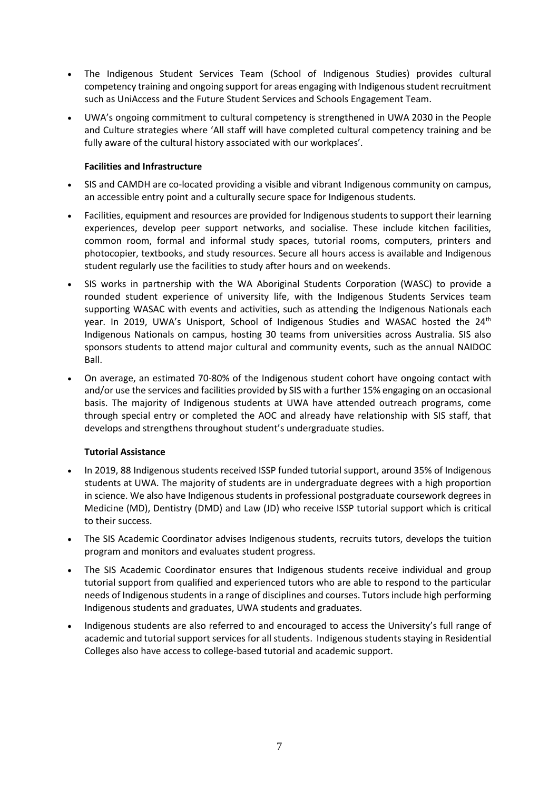- The Indigenous Student Services Team (School of Indigenous Studies) provides cultural competency training and ongoing support for areas engaging with Indigenous student recruitment such as UniAccess and the Future Student Services and Schools Engagement Team.
- UWA's ongoing commitment to cultural competency is strengthened in UWA 2030 in the People and Culture strategies where 'All staff will have completed cultural competency training and be fully aware of the cultural history associated with our workplaces'.

### **Facilities and Infrastructure**

- SIS and CAMDH are co-located providing a visible and vibrant Indigenous community on campus, an accessible entry point and a culturally secure space for Indigenous students.
- Facilities, equipment and resources are provided for Indigenous students to support their learning experiences, develop peer support networks, and socialise. These include kitchen facilities, common room, formal and informal study spaces, tutorial rooms, computers, printers and photocopier, textbooks, and study resources. Secure all hours access is available and Indigenous student regularly use the facilities to study after hours and on weekends.
- SIS works in partnership with the WA Aboriginal Students Corporation (WASC) to provide a rounded student experience of university life, with the Indigenous Students Services team supporting WASAC with events and activities, such as attending the Indigenous Nationals each year. In 2019, UWA's Unisport, School of Indigenous Studies and WASAC hosted the 24<sup>th</sup> Indigenous Nationals on campus, hosting 30 teams from universities across Australia. SIS also sponsors students to attend major cultural and community events, such as the annual NAIDOC Ball.
- On average, an estimated 70-80% of the Indigenous student cohort have ongoing contact with and/or use the services and facilities provided by SIS with a further 15% engaging on an occasional basis. The majority of Indigenous students at UWA have attended outreach programs, come through special entry or completed the AOC and already have relationship with SIS staff, that develops and strengthens throughout student's undergraduate studies.

### **Tutorial Assistance**

- In 2019, 88 Indigenous students received ISSP funded tutorial support, around 35% of Indigenous students at UWA. The majority of students are in undergraduate degrees with a high proportion in science. We also have Indigenous students in professional postgraduate coursework degrees in Medicine (MD), Dentistry (DMD) and Law (JD) who receive ISSP tutorial support which is critical to their success.
- The SIS Academic Coordinator advises Indigenous students, recruits tutors, develops the tuition program and monitors and evaluates student progress.
- The SIS Academic Coordinator ensures that Indigenous students receive individual and group tutorial support from qualified and experienced tutors who are able to respond to the particular needs of Indigenous students in a range of disciplines and courses. Tutors include high performing Indigenous students and graduates, UWA students and graduates.
- Indigenous students are also referred to and encouraged to access the University's full range of academic and tutorial support services for all students. Indigenous students staying in Residential Colleges also have access to college-based tutorial and academic support.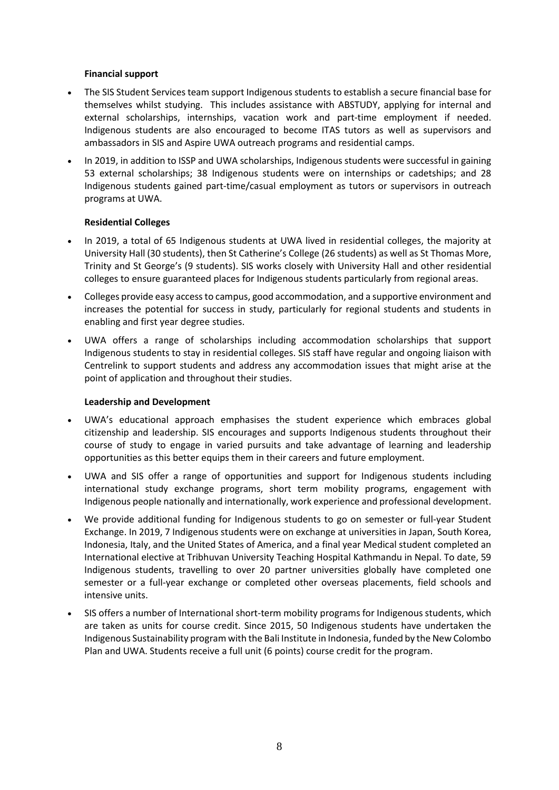### **Financial support**

- The SIS Student Services team support Indigenous students to establish a secure financial base for themselves whilst studying. This includes assistance with ABSTUDY, applying for internal and external scholarships, internships, vacation work and part-time employment if needed. Indigenous students are also encouraged to become ITAS tutors as well as supervisors and ambassadors in SIS and Aspire UWA outreach programs and residential camps.
- In 2019, in addition to ISSP and UWA scholarships, Indigenous students were successful in gaining 53 external scholarships; 38 Indigenous students were on internships or cadetships; and 28 Indigenous students gained part-time/casual employment as tutors or supervisors in outreach programs at UWA.

### **Residential Colleges**

- In 2019, a total of 65 Indigenous students at UWA lived in residential colleges, the majority at University Hall (30 students), then St Catherine's College (26 students) as well as St Thomas More, Trinity and St George's (9 students). SIS works closely with University Hall and other residential colleges to ensure guaranteed places for Indigenous students particularly from regional areas.
- Colleges provide easy access to campus, good accommodation, and a supportive environment and increases the potential for success in study, particularly for regional students and students in enabling and first year degree studies.
- UWA offers a range of scholarships including accommodation scholarships that support Indigenous students to stay in residential colleges. SIS staff have regular and ongoing liaison with Centrelink to support students and address any accommodation issues that might arise at the point of application and throughout their studies.

### **Leadership and Development**

- UWA's educational approach emphasises the student experience which embraces global citizenship and leadership. SIS encourages and supports Indigenous students throughout their course of study to engage in varied pursuits and take advantage of learning and leadership opportunities as this better equips them in their careers and future employment.
- UWA and SIS offer a range of opportunities and support for Indigenous students including international study exchange programs, short term mobility programs, engagement with Indigenous people nationally and internationally, work experience and professional development.
- We provide additional funding for Indigenous students to go on semester or full-year Student Exchange. In 2019, 7 Indigenous students were on exchange at universities in Japan, South Korea, Indonesia, Italy, and the United States of America, and a final year Medical student completed an International elective at Tribhuvan University Teaching Hospital Kathmandu in Nepal. To date, 59 Indigenous students, travelling to over 20 partner universities globally have completed one semester or a full-year exchange or completed other overseas placements, field schools and intensive units.
- SIS offers a number of International short-term mobility programs for Indigenous students, which are taken as units for course credit. Since 2015, 50 Indigenous students have undertaken the Indigenous Sustainability program with the Bali Institute in Indonesia, funded by the New Colombo Plan and UWA. Students receive a full unit (6 points) course credit for the program.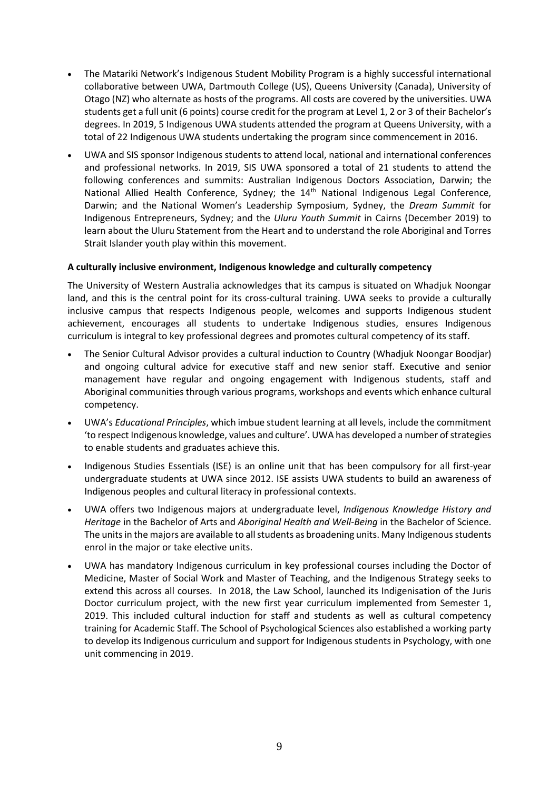- The Matariki Network's Indigenous Student Mobility Program is a highly successful international collaborative between UWA, Dartmouth College (US), Queens University (Canada), University of Otago (NZ) who alternate as hosts of the programs. All costs are covered by the universities. UWA students get a full unit (6 points) course credit for the program at Level 1, 2 or 3 of their Bachelor's degrees. In 2019, 5 Indigenous UWA students attended the program at Queens University, with a total of 22 Indigenous UWA students undertaking the program since commencement in 2016.
- UWA and SIS sponsor Indigenous students to attend local, national and international conferences and professional networks. In 2019, SIS UWA sponsored a total of 21 students to attend the following conferences and summits: Australian Indigenous Doctors Association, Darwin; the National Allied Health Conference, Sydney; the 14<sup>th</sup> National Indigenous Legal Conference, Darwin; and the National Women's Leadership Symposium, Sydney, the *Dream Summit* for Indigenous Entrepreneurs, Sydney; and the *Uluru Youth Summit* in Cairns (December 2019) to learn about the Uluru Statement from the Heart and to understand the role Aboriginal and Torres Strait Islander youth play within this movement.

### **A culturally inclusive environment, Indigenous knowledge and culturally competency**

The University of Western Australia acknowledges that its campus is situated on Whadjuk Noongar land, and this is the central point for its cross-cultural training. UWA seeks to provide a culturally inclusive campus that respects Indigenous people, welcomes and supports Indigenous student achievement, encourages all students to undertake Indigenous studies, ensures Indigenous curriculum is integral to key professional degrees and promotes cultural competency of its staff.

- The Senior Cultural Advisor provides a cultural induction to Country (Whadjuk Noongar Boodjar) and ongoing cultural advice for executive staff and new senior staff. Executive and senior management have regular and ongoing engagement with Indigenous students, staff and Aboriginal communities through various programs, workshops and events which enhance cultural competency.
- UWA's *Educational Principles*, which imbue student learning at all levels, include the commitment 'to respect Indigenous knowledge, values and culture'. UWA has developed a number of strategies to enable students and graduates achieve this.
- Indigenous Studies Essentials (ISE) is an online unit that has been compulsory for all first-year undergraduate students at UWA since 2012. ISE assists UWA students to build an awareness of Indigenous peoples and cultural literacy in professional contexts.
- UWA offers two Indigenous majors at undergraduate level, *Indigenous Knowledge History and Heritage* in the Bachelor of Arts and *Aboriginal Health and Well-Being* in the Bachelor of Science. The units in the majors are available to all students as broadening units. Many Indigenous students enrol in the major or take elective units.
- UWA has mandatory Indigenous curriculum in key professional courses including the Doctor of Medicine, Master of Social Work and Master of Teaching, and the Indigenous Strategy seeks to extend this across all courses. In 2018, the Law School, launched its Indigenisation of the Juris Doctor curriculum project, with the new first year curriculum implemented from Semester 1, 2019. This included cultural induction for staff and students as well as cultural competency training for Academic Staff. The School of Psychological Sciences also established a working party to develop its Indigenous curriculum and support for Indigenous students in Psychology, with one unit commencing in 2019.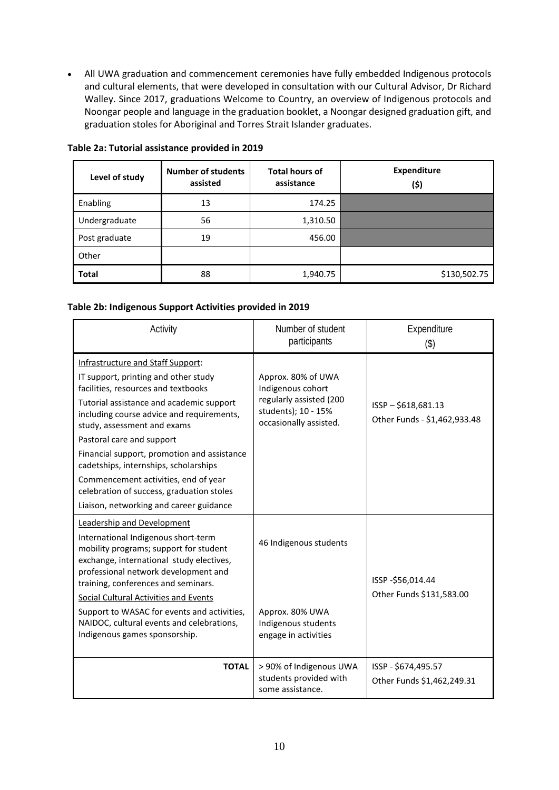• All UWA graduation and commencement ceremonies have fully embedded Indigenous protocols and cultural elements, that were developed in consultation with our Cultural Advisor, Dr Richard Walley. Since 2017, graduations Welcome to Country, an overview of Indigenous protocols and Noongar people and language in the graduation booklet, a Noongar designed graduation gift, and graduation stoles for Aboriginal and Torres Strait Islander graduates.

| Level of study | <b>Number of students</b><br>assisted | <b>Total hours of</b><br>assistance | <b>Expenditure</b><br>(\$) |
|----------------|---------------------------------------|-------------------------------------|----------------------------|
| Enabling       | 13                                    | 174.25                              |                            |
| Undergraduate  | 56                                    | 1,310.50                            |                            |
| Post graduate  | 19                                    | 456.00                              |                            |
| Other          |                                       |                                     |                            |
| <b>Total</b>   | 88                                    | 1,940.75                            | \$130,502.75               |

### **Table 2a: Tutorial assistance provided in 2019**

### **Table 2b: Indigenous Support Activities provided in 2019**

| Activity                                                                                                                                                                                                                                                                                                                                                                                                                                                                                      | Number of student<br>participants                                                                                   | Expenditure<br>$($ \$)                            |
|-----------------------------------------------------------------------------------------------------------------------------------------------------------------------------------------------------------------------------------------------------------------------------------------------------------------------------------------------------------------------------------------------------------------------------------------------------------------------------------------------|---------------------------------------------------------------------------------------------------------------------|---------------------------------------------------|
| Infrastructure and Staff Support:<br>IT support, printing and other study<br>facilities, resources and textbooks<br>Tutorial assistance and academic support<br>including course advice and requirements,<br>study, assessment and exams<br>Pastoral care and support<br>Financial support, promotion and assistance<br>cadetships, internships, scholarships<br>Commencement activities, end of year<br>celebration of success, graduation stoles<br>Liaison, networking and career guidance | Approx. 80% of UWA<br>Indigenous cohort<br>regularly assisted (200<br>students); 10 - 15%<br>occasionally assisted. | ISSP-\$618,681.13<br>Other Funds - \$1,462,933.48 |
| Leadership and Development<br>International Indigenous short-term<br>mobility programs; support for student<br>exchange, international study electives,<br>professional network development and<br>training, conferences and seminars.<br><b>Social Cultural Activities and Events</b><br>Support to WASAC for events and activities,<br>NAIDOC, cultural events and celebrations,<br>Indigenous games sponsorship.                                                                           | 46 Indigenous students<br>Approx. 80% UWA<br>Indigenous students<br>engage in activities                            | ISSP -\$56,014.44<br>Other Funds \$131,583.00     |
| <b>TOTAL</b>                                                                                                                                                                                                                                                                                                                                                                                                                                                                                  | > 90% of Indigenous UWA<br>students provided with<br>some assistance.                                               | ISSP - \$674,495.57<br>Other Funds \$1,462,249.31 |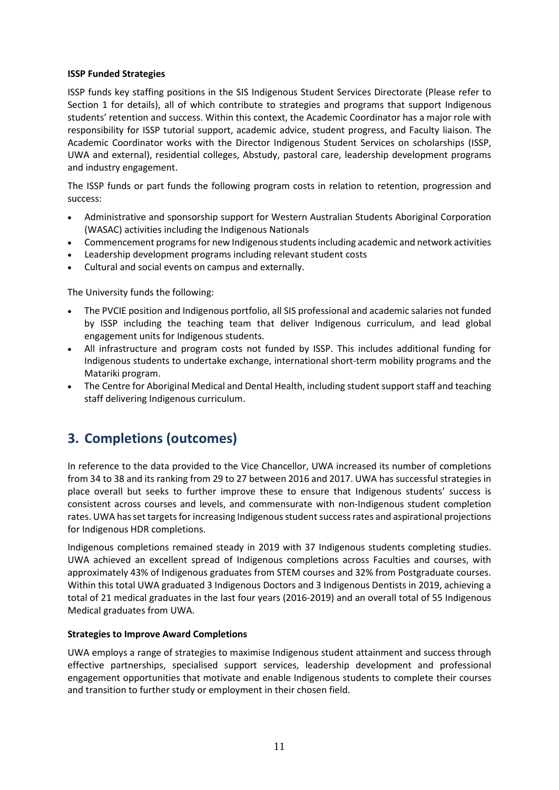### **ISSP Funded Strategies**

ISSP funds key staffing positions in the SIS Indigenous Student Services Directorate (Please refer to Section 1 for details), all of which contribute to strategies and programs that support Indigenous students' retention and success. Within this context, the Academic Coordinator has a major role with responsibility for ISSP tutorial support, academic advice, student progress, and Faculty liaison. The Academic Coordinator works with the Director Indigenous Student Services on scholarships (ISSP, UWA and external), residential colleges, Abstudy, pastoral care, leadership development programs and industry engagement.

The ISSP funds or part funds the following program costs in relation to retention, progression and success:

- Administrative and sponsorship support for Western Australian Students Aboriginal Corporation (WASAC) activities including the Indigenous Nationals
- Commencement programs for new Indigenous students including academic and network activities
- Leadership development programs including relevant student costs
- Cultural and social events on campus and externally.

The University funds the following:

- The PVCIE position and Indigenous portfolio, all SIS professional and academic salaries not funded by ISSP including the teaching team that deliver Indigenous curriculum, and lead global engagement units for Indigenous students.
- All infrastructure and program costs not funded by ISSP. This includes additional funding for Indigenous students to undertake exchange, international short-term mobility programs and the Matariki program.
- The Centre for Aboriginal Medical and Dental Health, including student support staff and teaching staff delivering Indigenous curriculum.

## **3. Completions (outcomes)**

In reference to the data provided to the Vice Chancellor, UWA increased its number of completions from 34 to 38 and its ranking from 29 to 27 between 2016 and 2017. UWA has successful strategies in place overall but seeks to further improve these to ensure that Indigenous students' success is consistent across courses and levels, and commensurate with non-Indigenous student completion rates. UWA has set targets for increasing Indigenous student success rates and aspirational projections for Indigenous HDR completions.

Indigenous completions remained steady in 2019 with 37 Indigenous students completing studies. UWA achieved an excellent spread of Indigenous completions across Faculties and courses, with approximately 43% of Indigenous graduates from STEM courses and 32% from Postgraduate courses. Within this total UWA graduated 3 Indigenous Doctors and 3 Indigenous Dentists in 2019, achieving a total of 21 medical graduates in the last four years (2016-2019) and an overall total of 55 Indigenous Medical graduates from UWA.

### **Strategies to Improve Award Completions**

UWA employs a range of strategies to maximise Indigenous student attainment and success through effective partnerships, specialised support services, leadership development and professional engagement opportunities that motivate and enable Indigenous students to complete their courses and transition to further study or employment in their chosen field.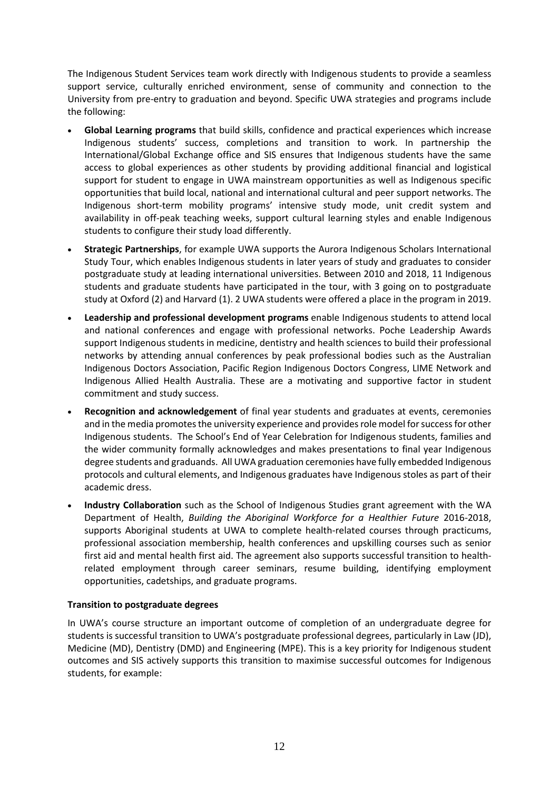The Indigenous Student Services team work directly with Indigenous students to provide a seamless support service, culturally enriched environment, sense of community and connection to the University from pre-entry to graduation and beyond. Specific UWA strategies and programs include the following:

- **Global Learning programs** that build skills, confidence and practical experiences which increase Indigenous students' success, completions and transition to work. In partnership the International/Global Exchange office and SIS ensures that Indigenous students have the same access to global experiences as other students by providing additional financial and logistical support for student to engage in UWA mainstream opportunities as well as Indigenous specific opportunities that build local, national and international cultural and peer support networks. The Indigenous short-term mobility programs' intensive study mode, unit credit system and availability in off-peak teaching weeks, support cultural learning styles and enable Indigenous students to configure their study load differently.
- **Strategic Partnerships**, for example UWA supports the Aurora Indigenous Scholars International Study Tour, which enables Indigenous students in later years of study and graduates to consider postgraduate study at leading international universities. Between 2010 and 2018, 11 Indigenous students and graduate students have participated in the tour, with 3 going on to postgraduate study at Oxford (2) and Harvard (1). 2 UWA students were offered a place in the program in 2019.
- **Leadership and professional development programs** enable Indigenous students to attend local and national conferences and engage with professional networks. Poche Leadership Awards support Indigenous students in medicine, dentistry and health sciences to build their professional networks by attending annual conferences by peak professional bodies such as the Australian Indigenous Doctors Association, Pacific Region Indigenous Doctors Congress, LIME Network and Indigenous Allied Health Australia. These are a motivating and supportive factor in student commitment and study success.
- **Recognition and acknowledgement** of final year students and graduates at events, ceremonies and in the media promotes the university experience and provides role model for success for other Indigenous students. The School's End of Year Celebration for Indigenous students, families and the wider community formally acknowledges and makes presentations to final year Indigenous degree students and graduands. All UWA graduation ceremonies have fully embedded Indigenous protocols and cultural elements, and Indigenous graduates have Indigenous stoles as part of their academic dress.
- **Industry Collaboration** such as the School of Indigenous Studies grant agreement with the WA Department of Health, *Building the Aboriginal Workforce for a Healthier Future* 2016-2018, supports Aboriginal students at UWA to complete health-related courses through practicums, professional association membership, health conferences and upskilling courses such as senior first aid and mental health first aid. The agreement also supports successful transition to healthrelated employment through career seminars, resume building, identifying employment opportunities, cadetships, and graduate programs.

### **Transition to postgraduate degrees**

In UWA's course structure an important outcome of completion of an undergraduate degree for students is successful transition to UWA's postgraduate professional degrees, particularly in Law (JD), Medicine (MD), Dentistry (DMD) and Engineering (MPE). This is a key priority for Indigenous student outcomes and SIS actively supports this transition to maximise successful outcomes for Indigenous students, for example: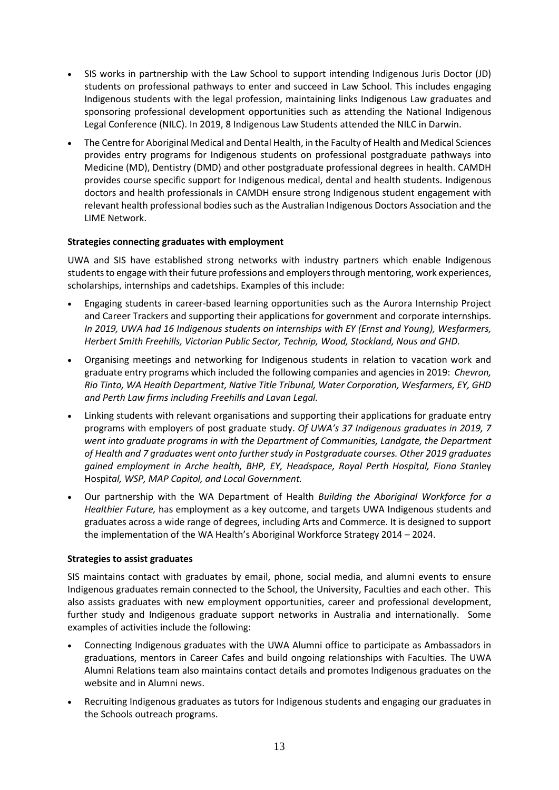- SIS works in partnership with the Law School to support intending Indigenous Juris Doctor (JD) students on professional pathways to enter and succeed in Law School. This includes engaging Indigenous students with the legal profession, maintaining links Indigenous Law graduates and sponsoring professional development opportunities such as attending the National Indigenous Legal Conference (NILC). In 2019, 8 Indigenous Law Students attended the NILC in Darwin.
- The Centre for Aboriginal Medical and Dental Health, in the Faculty of Health and Medical Sciences provides entry programs for Indigenous students on professional postgraduate pathways into Medicine (MD), Dentistry (DMD) and other postgraduate professional degrees in health. CAMDH provides course specific support for Indigenous medical, dental and health students. Indigenous doctors and health professionals in CAMDH ensure strong Indigenous student engagement with relevant health professional bodies such as the Australian Indigenous Doctors Association and the LIME Network.

### **Strategies connecting graduates with employment**

UWA and SIS have established strong networks with industry partners which enable Indigenous students to engage with their future professions and employers through mentoring, work experiences, scholarships, internships and cadetships. Examples of this include:

- Engaging students in career-based learning opportunities such as the Aurora Internship Project and Career Trackers and supporting their applications for government and corporate internships. *In 2019, UWA had 16 Indigenous students on internships with EY (Ernst and Young), Wesfarmers, Herbert Smith Freehills, Victorian Public Sector, Technip, Wood, Stockland, Nous and GHD.*
- Organising meetings and networking for Indigenous students in relation to vacation work and graduate entry programs which included the following companies and agencies in 2019: *Chevron, Rio Tinto, WA Health Department, Native Title Tribunal, Water Corporation, Wesfarmers, EY, GHD and Perth Law firms including Freehills and Lavan Legal.*
- Linking students with relevant organisations and supporting their applications for graduate entry programs with employers of post graduate study. *Of UWA's 37 Indigenous graduates in 2019, 7 went into graduate programs in with the Department of Communities, Landgate, the Department of Health and 7 graduates went onto further study in Postgraduate courses. Other 2019 graduates gained employment in Arche health, BHP, EY, Headspace, Royal Perth Hospital, Fiona Stan*ley Hospi*tal, WSP, MAP Capitol, and Local Government.*
- Our partnership with the WA Department of Health *Building the Aboriginal Workforce for a Healthier Future,* has employment as a key outcome, and targets UWA Indigenous students and graduates across a wide range of degrees, including Arts and Commerce. It is designed to support the implementation of the WA Health's Aboriginal Workforce Strategy 2014 – 2024.

### **Strategies to assist graduates**

SIS maintains contact with graduates by email, phone, social media, and alumni events to ensure Indigenous graduates remain connected to the School, the University, Faculties and each other. This also assists graduates with new employment opportunities, career and professional development, further study and Indigenous graduate support networks in Australia and internationally. Some examples of activities include the following:

- Connecting Indigenous graduates with the UWA Alumni office to participate as Ambassadors in graduations, mentors in Career Cafes and build ongoing relationships with Faculties. The UWA Alumni Relations team also maintains contact details and promotes Indigenous graduates on the website and in Alumni news.
- Recruiting Indigenous graduates as tutors for Indigenous students and engaging our graduates in the Schools outreach programs.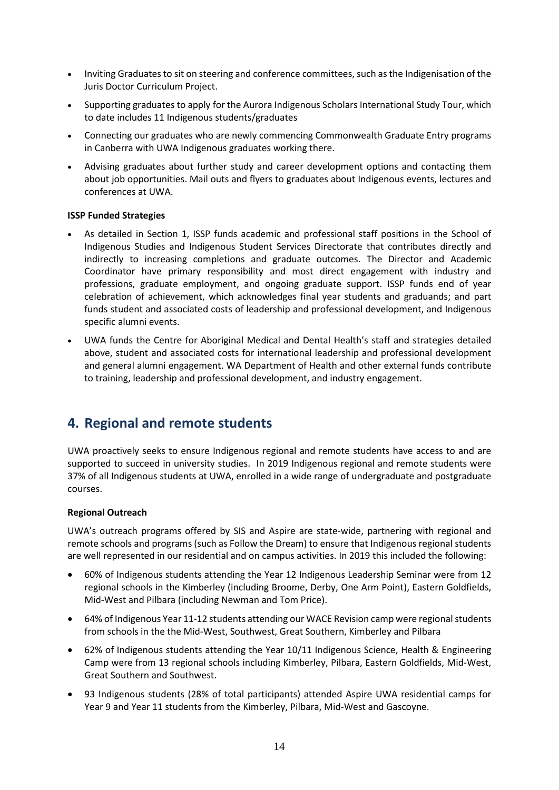- Inviting Graduates to sit on steering and conference committees, such as the Indigenisation of the Juris Doctor Curriculum Project.
- Supporting graduates to apply for the Aurora Indigenous Scholars International Study Tour, which to date includes 11 Indigenous students/graduates
- Connecting our graduates who are newly commencing Commonwealth Graduate Entry programs in Canberra with UWA Indigenous graduates working there.
- Advising graduates about further study and career development options and contacting them about job opportunities. Mail outs and flyers to graduates about Indigenous events, lectures and conferences at UWA.

### **ISSP Funded Strategies**

- As detailed in Section 1, ISSP funds academic and professional staff positions in the School of Indigenous Studies and Indigenous Student Services Directorate that contributes directly and indirectly to increasing completions and graduate outcomes. The Director and Academic Coordinator have primary responsibility and most direct engagement with industry and professions, graduate employment, and ongoing graduate support. ISSP funds end of year celebration of achievement, which acknowledges final year students and graduands; and part funds student and associated costs of leadership and professional development, and Indigenous specific alumni events.
- UWA funds the Centre for Aboriginal Medical and Dental Health's staff and strategies detailed above, student and associated costs for international leadership and professional development and general alumni engagement. WA Department of Health and other external funds contribute to training, leadership and professional development, and industry engagement.

### **4. Regional and remote students**

UWA proactively seeks to ensure Indigenous regional and remote students have access to and are supported to succeed in university studies. In 2019 Indigenous regional and remote students were 37% of all Indigenous students at UWA, enrolled in a wide range of undergraduate and postgraduate courses.

### **Regional Outreach**

UWA's outreach programs offered by SIS and Aspire are state-wide, partnering with regional and remote schools and programs (such as Follow the Dream) to ensure that Indigenous regional students are well represented in our residential and on campus activities. In 2019 this included the following:

- 60% of Indigenous students attending the Year 12 Indigenous Leadership Seminar were from 12 regional schools in the Kimberley (including Broome, Derby, One Arm Point), Eastern Goldfields, Mid-West and Pilbara (including Newman and Tom Price).
- 64% of Indigenous Year 11-12 students attending our WACE Revision camp were regional students from schools in the the Mid-West, Southwest, Great Southern, Kimberley and Pilbara
- 62% of Indigenous students attending the Year 10/11 Indigenous Science, Health & Engineering Camp were from 13 regional schools including Kimberley, Pilbara, Eastern Goldfields, Mid-West, Great Southern and Southwest.
- 93 Indigenous students (28% of total participants) attended Aspire UWA residential camps for Year 9 and Year 11 students from the Kimberley, Pilbara, Mid-West and Gascoyne.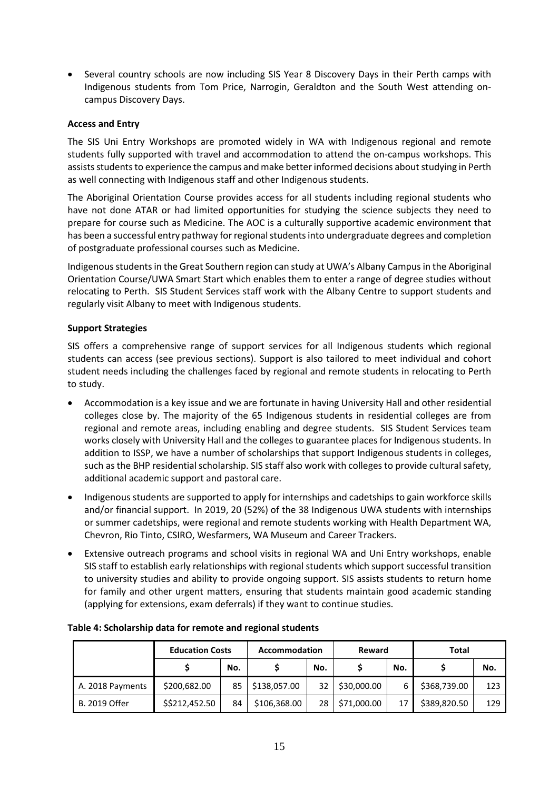• Several country schools are now including SIS Year 8 Discovery Days in their Perth camps with Indigenous students from Tom Price, Narrogin, Geraldton and the South West attending oncampus Discovery Days.

### **Access and Entry**

The SIS Uni Entry Workshops are promoted widely in WA with Indigenous regional and remote students fully supported with travel and accommodation to attend the on-campus workshops. This assists students to experience the campus and make better informed decisions about studying in Perth as well connecting with Indigenous staff and other Indigenous students.

The Aboriginal Orientation Course provides access for all students including regional students who have not done ATAR or had limited opportunities for studying the science subjects they need to prepare for course such as Medicine. The AOC is a culturally supportive academic environment that has been a successful entry pathway for regional students into undergraduate degrees and completion of postgraduate professional courses such as Medicine.

Indigenous students in the Great Southern region can study at UWA's Albany Campus in the Aboriginal Orientation Course/UWA Smart Start which enables them to enter a range of degree studies without relocating to Perth. SIS Student Services staff work with the Albany Centre to support students and regularly visit Albany to meet with Indigenous students.

### **Support Strategies**

SIS offers a comprehensive range of support services for all Indigenous students which regional students can access (see previous sections). Support is also tailored to meet individual and cohort student needs including the challenges faced by regional and remote students in relocating to Perth to study.

- Accommodation is a key issue and we are fortunate in having University Hall and other residential colleges close by. The majority of the 65 Indigenous students in residential colleges are from regional and remote areas, including enabling and degree students. SIS Student Services team works closely with University Hall and the colleges to guarantee places for Indigenous students. In addition to ISSP, we have a number of scholarships that support Indigenous students in colleges, such as the BHP residential scholarship. SIS staff also work with colleges to provide cultural safety, additional academic support and pastoral care.
- Indigenous students are supported to apply for internships and cadetships to gain workforce skills and/or financial support. In 2019, 20 (52%) of the 38 Indigenous UWA students with internships or summer cadetships, were regional and remote students working with Health Department WA, Chevron, Rio Tinto, CSIRO, Wesfarmers, WA Museum and Career Trackers.
- Extensive outreach programs and school visits in regional WA and Uni Entry workshops, enable SIS staff to establish early relationships with regional students which support successful transition to university studies and ability to provide ongoing support. SIS assists students to return home for family and other urgent matters, ensuring that students maintain good academic standing (applying for extensions, exam deferrals) if they want to continue studies.

|                  | <b>Education Costs</b> |     | <b>Accommodation</b> |     | <b>Reward</b> |     | Total        |     |
|------------------|------------------------|-----|----------------------|-----|---------------|-----|--------------|-----|
|                  |                        | No. |                      | No. |               | No. |              | No. |
| A. 2018 Payments | \$200,682.00           | 85  | \$138,057.00         | 32  | \$30,000.00   | 6   | \$368,739.00 | 123 |
| B. 2019 Offer    | \$\$212,452.50         | 84  | \$106,368.00         | 28  | \$71,000.00   |     | \$389,820.50 | 129 |

#### **Table 4: Scholarship data for remote and regional students**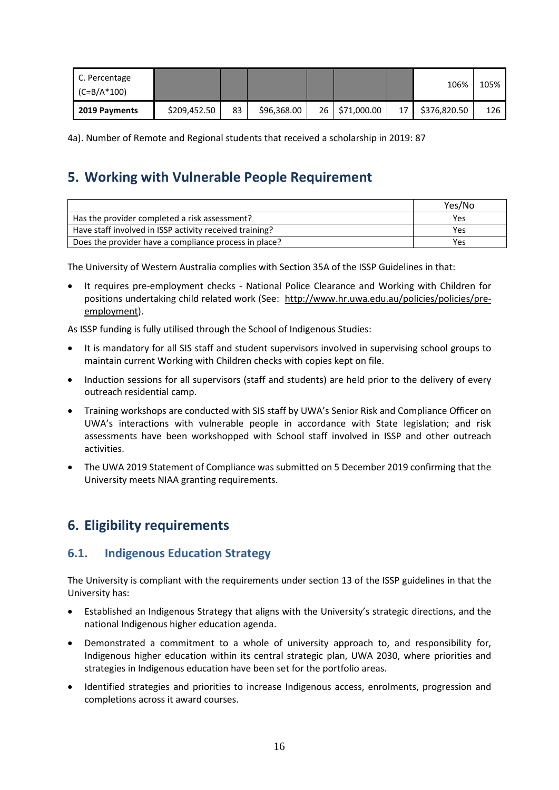| C. Percentage<br>$(C = B/A * 100)$ |              |    |             |                |    | 106%         | 105% |
|------------------------------------|--------------|----|-------------|----------------|----|--------------|------|
| 2019 Payments                      | \$209,452.50 | 83 | \$96,368.00 | 26 \$71,000.00 | 17 | \$376,820.50 | 126  |

4a). Number of Remote and Regional students that received a scholarship in 2019: 87

## **5. Working with Vulnerable People Requirement**

|                                                         | Yes/No |
|---------------------------------------------------------|--------|
| Has the provider completed a risk assessment?           | Yes    |
| Have staff involved in ISSP activity received training? | Yes    |
| Does the provider have a compliance process in place?   | Yes    |

The University of Western Australia complies with Section 35A of the ISSP Guidelines in that:

• It requires pre-employment checks - National Police Clearance and Working with Children for positions undertaking child related work (See: [http://www.hr.uwa.edu.au/policies/policies/pre](http://www.hr.uwa.edu.au/policies/policies/pre-employment)[employment\)](http://www.hr.uwa.edu.au/policies/policies/pre-employment).

As ISSP funding is fully utilised through the School of Indigenous Studies:

- It is mandatory for all SIS staff and student supervisors involved in supervising school groups to maintain current Working with Children checks with copies kept on file.
- Induction sessions for all supervisors (staff and students) are held prior to the delivery of every outreach residential camp.
- Training workshops are conducted with SIS staff by UWA's Senior Risk and Compliance Officer on UWA's interactions with vulnerable people in accordance with State legislation; and risk assessments have been workshopped with School staff involved in ISSP and other outreach activities.
- The UWA 2019 Statement of Compliance was submitted on 5 December 2019 confirming that the University meets NIAA granting requirements.

## **6. Eligibility requirements**

### **6.1. Indigenous Education Strategy**

The University is compliant with the requirements under section 13 of the ISSP guidelines in that the University has:

- Established an Indigenous Strategy that aligns with the University's strategic directions, and the national Indigenous higher education agenda.
- Demonstrated a commitment to a whole of university approach to, and responsibility for, Indigenous higher education within its central strategic plan, UWA 2030, where priorities and strategies in Indigenous education have been set for the portfolio areas.
- Identified strategies and priorities to increase Indigenous access, enrolments, progression and completions across it award courses.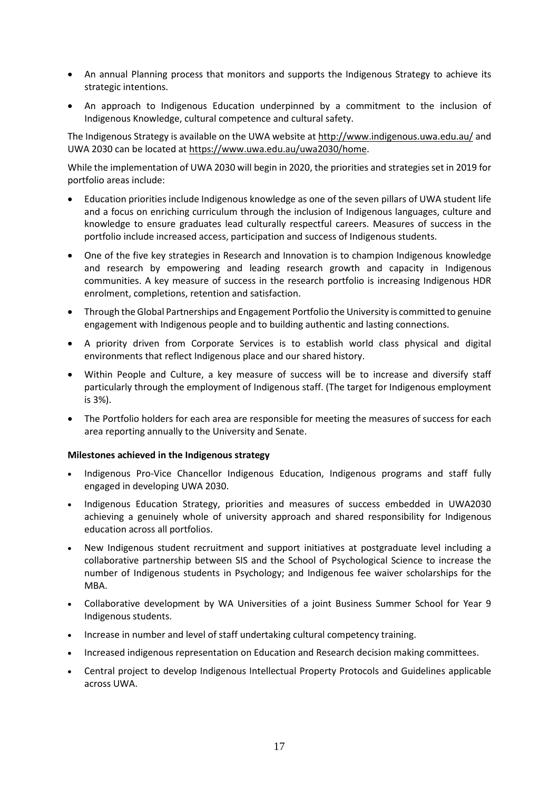- An annual Planning process that monitors and supports the Indigenous Strategy to achieve its strategic intentions.
- An approach to Indigenous Education underpinned by a commitment to the inclusion of Indigenous Knowledge, cultural competence and cultural safety.

The Indigenous Strategy is available on the UWA website at<http://www.indigenous.uwa.edu.au/> and UWA 2030 can be located a[t https://www.uwa.edu.au/uwa2030/home.](https://www.uwa.edu.au/uwa2030/home)

While the implementation of UWA 2030 will begin in 2020, the priorities and strategies set in 2019 for portfolio areas include:

- Education priorities include Indigenous knowledge as one of the seven pillars of UWA student life and a focus on enriching curriculum through the inclusion of Indigenous languages, culture and knowledge to ensure graduates lead culturally respectful careers. Measures of success in the portfolio include increased access, participation and success of Indigenous students.
- One of the five key strategies in Research and Innovation is to champion Indigenous knowledge and research by empowering and leading research growth and capacity in Indigenous communities. A key measure of success in the research portfolio is increasing Indigenous HDR enrolment, completions, retention and satisfaction.
- Through the Global Partnerships and Engagement Portfolio the University is committed to genuine engagement with Indigenous people and to building authentic and lasting connections.
- A priority driven from Corporate Services is to establish world class physical and digital environments that reflect Indigenous place and our shared history.
- Within People and Culture, a key measure of success will be to increase and diversify staff particularly through the employment of Indigenous staff. (The target for Indigenous employment is 3%).
- The Portfolio holders for each area are responsible for meeting the measures of success for each area reporting annually to the University and Senate.

### **Milestones achieved in the Indigenous strategy**

- Indigenous Pro-Vice Chancellor Indigenous Education, Indigenous programs and staff fully engaged in developing UWA 2030.
- Indigenous Education Strategy, priorities and measures of success embedded in UWA2030 achieving a genuinely whole of university approach and shared responsibility for Indigenous education across all portfolios.
- New Indigenous student recruitment and support initiatives at postgraduate level including a collaborative partnership between SIS and the School of Psychological Science to increase the number of Indigenous students in Psychology; and Indigenous fee waiver scholarships for the MBA.
- Collaborative development by WA Universities of a joint Business Summer School for Year 9 Indigenous students.
- Increase in number and level of staff undertaking cultural competency training.
- Increased indigenous representation on Education and Research decision making committees.
- Central project to develop Indigenous Intellectual Property Protocols and Guidelines applicable across UWA.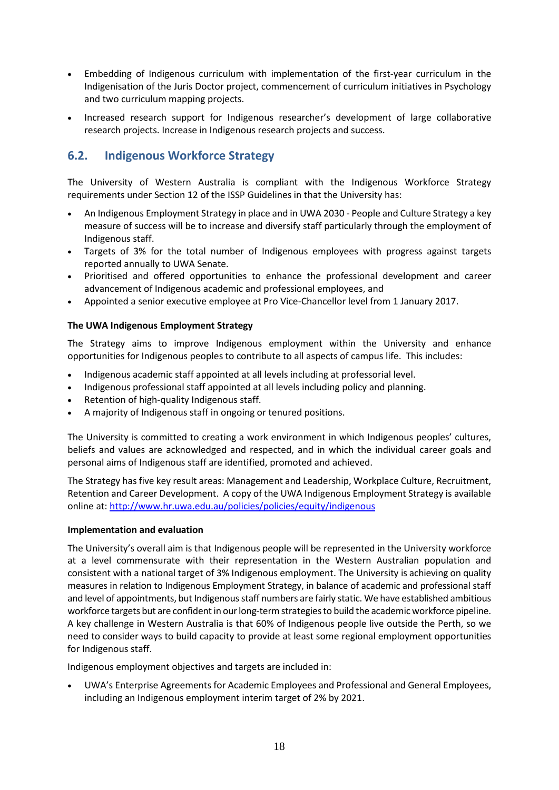- Embedding of Indigenous curriculum with implementation of the first-year curriculum in the Indigenisation of the Juris Doctor project, commencement of curriculum initiatives in Psychology and two curriculum mapping projects.
- Increased research support for Indigenous researcher's development of large collaborative research projects. Increase in Indigenous research projects and success.

### **6.2. Indigenous Workforce Strategy**

The University of Western Australia is compliant with the Indigenous Workforce Strategy requirements under Section 12 of the ISSP Guidelines in that the University has:

- An Indigenous Employment Strategy in place and in UWA 2030 People and Culture Strategy a key measure of success will be to increase and diversify staff particularly through the employment of Indigenous staff.
- Targets of 3% for the total number of Indigenous employees with progress against targets reported annually to UWA Senate.
- Prioritised and offered opportunities to enhance the professional development and career advancement of Indigenous academic and professional employees, and
- Appointed a senior executive employee at Pro Vice-Chancellor level from 1 January 2017.

### **The UWA Indigenous Employment Strategy**

The Strategy aims to improve Indigenous employment within the University and enhance opportunities for Indigenous peoples to contribute to all aspects of campus life. This includes:

- Indigenous academic staff appointed at all levels including at professorial level.
- Indigenous professional staff appointed at all levels including policy and planning.
- Retention of high-quality Indigenous staff.
- A majority of Indigenous staff in ongoing or tenured positions.

The University is committed to creating a work environment in which Indigenous peoples' cultures, beliefs and values are acknowledged and respected, and in which the individual career goals and personal aims of Indigenous staff are identified, promoted and achieved.

The Strategy has five key result areas: Management and Leadership, Workplace Culture, Recruitment, Retention and Career Development. A copy of the UWA Indigenous Employment Strategy is available online at:<http://www.hr.uwa.edu.au/policies/policies/equity/indigenous>

### **Implementation and evaluation**

The University's overall aim is that Indigenous people will be represented in the University workforce at a level commensurate with their representation in the Western Australian population and consistent with a national target of 3% Indigenous employment. The University is achieving on quality measures in relation to Indigenous Employment Strategy, in balance of academic and professional staff and level of appointments, but Indigenous staff numbers are fairly static. We have established ambitious workforce targets but are confident in our long-term strategies to build the academic workforce pipeline. A key challenge in Western Australia is that 60% of Indigenous people live outside the Perth, so we need to consider ways to build capacity to provide at least some regional employment opportunities for Indigenous staff.

Indigenous employment objectives and targets are included in:

• UWA's Enterprise Agreements for Academic Employees and Professional and General Employees, including an Indigenous employment interim target of 2% by 2021.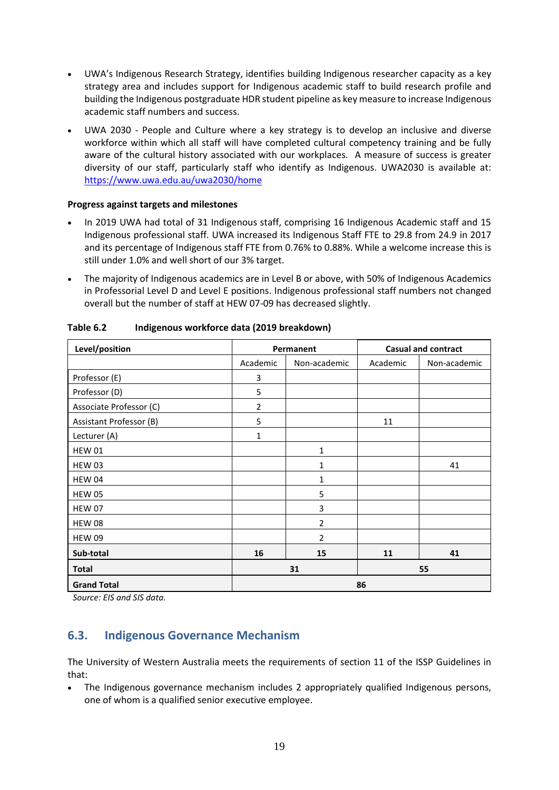- UWA's Indigenous Research Strategy, identifies building Indigenous researcher capacity as a key strategy area and includes support for Indigenous academic staff to build research profile and building the Indigenous postgraduate HDR student pipeline as key measure to increase Indigenous academic staff numbers and success.
- UWA 2030 People and Culture where a key strategy is to develop an inclusive and diverse workforce within which all staff will have completed cultural competency training and be fully aware of the cultural history associated with our workplaces. A measure of success is greater diversity of our staff, particularly staff who identify as Indigenous. UWA2030 is available at: <https://www.uwa.edu.au/uwa2030/home>

### **Progress against targets and milestones**

- In 2019 UWA had total of 31 Indigenous staff, comprising 16 Indigenous Academic staff and 15 Indigenous professional staff. UWA increased its Indigenous Staff FTE to 29.8 from 24.9 in 2017 and its percentage of Indigenous staff FTE from 0.76% to 0.88%. While a welcome increase this is still under 1.0% and well short of our 3% target.
- The majority of Indigenous academics are in Level B or above, with 50% of Indigenous Academics in Professorial Level D and Level E positions. Indigenous professional staff numbers not changed overall but the number of staff at HEW 07-09 has decreased slightly.

| Level/position          | Permanent      |                |          | <b>Casual and contract</b> |  |  |
|-------------------------|----------------|----------------|----------|----------------------------|--|--|
|                         | Academic       | Non-academic   | Academic | Non-academic               |  |  |
| Professor (E)           | 3              |                |          |                            |  |  |
| Professor (D)           | 5              |                |          |                            |  |  |
| Associate Professor (C) | $\overline{2}$ |                |          |                            |  |  |
| Assistant Professor (B) | 5              |                | 11       |                            |  |  |
| Lecturer (A)            | 1              |                |          |                            |  |  |
| <b>HEW 01</b>           |                | $\mathbf{1}$   |          |                            |  |  |
| HEW 03                  |                | 1              |          | 41                         |  |  |
| HEW 04                  |                | 1              |          |                            |  |  |
| <b>HEW 05</b>           |                | 5              |          |                            |  |  |
| <b>HEW 07</b>           |                | 3              |          |                            |  |  |
| <b>HEW 08</b>           |                | $\overline{2}$ |          |                            |  |  |
| <b>HEW 09</b>           |                | $\overline{2}$ |          |                            |  |  |
| Sub-total               | 16             | 15             | 11       | 41                         |  |  |
| <b>Total</b>            | 31             |                | 55       |                            |  |  |
| <b>Grand Total</b>      |                | 86             |          |                            |  |  |

**Table 6.2 Indigenous workforce data (2019 breakdown)**

*Source: EIS and SIS data.*

### **6.3. Indigenous Governance Mechanism**

The University of Western Australia meets the requirements of section 11 of the ISSP Guidelines in that:

• The Indigenous governance mechanism includes 2 appropriately qualified Indigenous persons, one of whom is a qualified senior executive employee.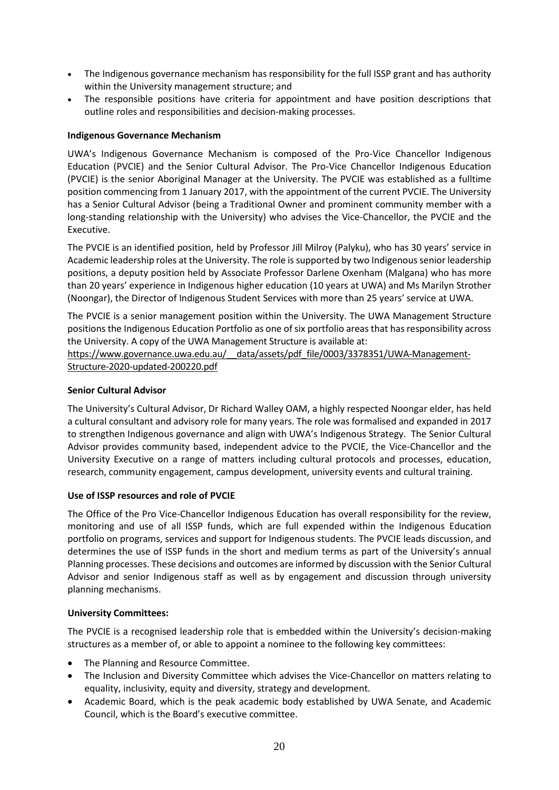- The Indigenous governance mechanism has responsibility for the full ISSP grant and has authority within the University management structure; and
- The responsible positions have criteria for appointment and have position descriptions that outline roles and responsibilities and decision-making processes.

### **Indigenous Governance Mechanism**

UWA's Indigenous Governance Mechanism is composed of the Pro-Vice Chancellor Indigenous Education (PVCIE) and the Senior Cultural Advisor. The Pro-Vice Chancellor Indigenous Education (PVCIE) is the senior Aboriginal Manager at the University. The PVCIE was established as a fulltime position commencing from 1 January 2017, with the appointment of the current PVCIE. The University has a Senior Cultural Advisor (being a Traditional Owner and prominent community member with a long-standing relationship with the University) who advises the Vice-Chancellor, the PVCIE and the Executive.

The PVCIE is an identified position, held by Professor Jill Milroy (Palyku), who has 30 years' service in Academic leadership roles at the University. The role is supported by two Indigenous senior leadership positions, a deputy position held by Associate Professor Darlene Oxenham (Malgana) who has more than 20 years' experience in Indigenous higher education (10 years at UWA) and Ms Marilyn Strother (Noongar), the Director of Indigenous Student Services with more than 25 years' service at UWA.

The PVCIE is a senior management position within the University. The UWA Management Structure positions the Indigenous Education Portfolio as one of six portfolio areas that has responsibility across the University. A copy of the UWA Management Structure is available at:

https://www.governance.uwa.edu.au/ data/assets/pdf file/0003/3378351/UWA-Management-[Structure-2020-updated-200220.pdf](https://www.governance.uwa.edu.au/__data/assets/pdf_file/0003/3378351/UWA-Management-Structure-2020-updated-200220.pdf)

### **Senior Cultural Advisor**

The University's Cultural Advisor, Dr Richard Walley OAM, a highly respected Noongar elder, has held a cultural consultant and advisory role for many years. The role was formalised and expanded in 2017 to strengthen Indigenous governance and align with UWA's Indigenous Strategy. The Senior Cultural Advisor provides community based, independent advice to the PVCIE, the Vice-Chancellor and the University Executive on a range of matters including cultural protocols and processes, education, research, community engagement, campus development, university events and cultural training.

### **Use of ISSP resources and role of PVCIE**

The Office of the Pro Vice-Chancellor Indigenous Education has overall responsibility for the review, monitoring and use of all ISSP funds, which are full expended within the Indigenous Education portfolio on programs, services and support for Indigenous students. The PVCIE leads discussion, and determines the use of ISSP funds in the short and medium terms as part of the University's annual Planning processes. These decisions and outcomes are informed by discussion with the Senior Cultural Advisor and senior Indigenous staff as well as by engagement and discussion through university planning mechanisms.

### **University Committees:**

The PVCIE is a recognised leadership role that is embedded within the University's decision-making structures as a member of, or able to appoint a nominee to the following key committees:

- The Planning and Resource Committee.
- The Inclusion and Diversity Committee which advises the Vice-Chancellor on matters relating to equality, inclusivity, equity and diversity, strategy and development.
- Academic Board, which is the peak academic body established by UWA Senate, and Academic Council, which is the Board's executive committee.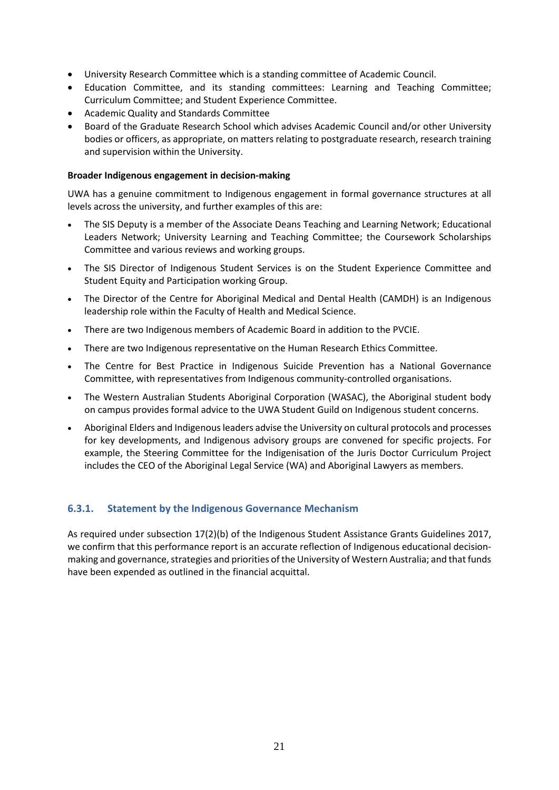- University Research Committee which is a standing committee of Academic Council.
- Education Committee, and its standing committees: Learning and Teaching Committee; Curriculum Committee; and Student Experience Committee.
- Academic Quality and Standards Committee
- Board of the Graduate Research School which advises Academic Council and/or other University bodies or officers, as appropriate, on matters relating to postgraduate research, research training and supervision within the University.

#### **Broader Indigenous engagement in decision-making**

UWA has a genuine commitment to Indigenous engagement in formal governance structures at all levels across the university, and further examples of this are:

- The SIS Deputy is a member of the Associate Deans Teaching and Learning Network; Educational Leaders Network; University Learning and Teaching Committee; the Coursework Scholarships Committee and various reviews and working groups.
- The SIS Director of Indigenous Student Services is on the Student Experience Committee and Student Equity and Participation working Group.
- The Director of the Centre for Aboriginal Medical and Dental Health (CAMDH) is an Indigenous leadership role within the Faculty of Health and Medical Science.
- There are two Indigenous members of Academic Board in addition to the PVCIE.
- There are two Indigenous representative on the Human Research Ethics Committee.
- The Centre for Best Practice in Indigenous Suicide Prevention has a National Governance Committee, with representatives from Indigenous community-controlled organisations.
- The Western Australian Students Aboriginal Corporation (WASAC), the Aboriginal student body on campus provides formal advice to the UWA Student Guild on Indigenous student concerns.
- Aboriginal Elders and Indigenous leaders advise the University on cultural protocols and processes for key developments, and Indigenous advisory groups are convened for specific projects. For example, the Steering Committee for the Indigenisation of the Juris Doctor Curriculum Project includes the CEO of the Aboriginal Legal Service (WA) and Aboriginal Lawyers as members.

### **6.3.1. Statement by the Indigenous Governance Mechanism**

As required under subsection 17(2)(b) of the Indigenous Student Assistance Grants Guidelines 2017, we confirm that this performance report is an accurate reflection of Indigenous educational decisionmaking and governance, strategies and priorities of the University of Western Australia; and that funds have been expended as outlined in the financial acquittal.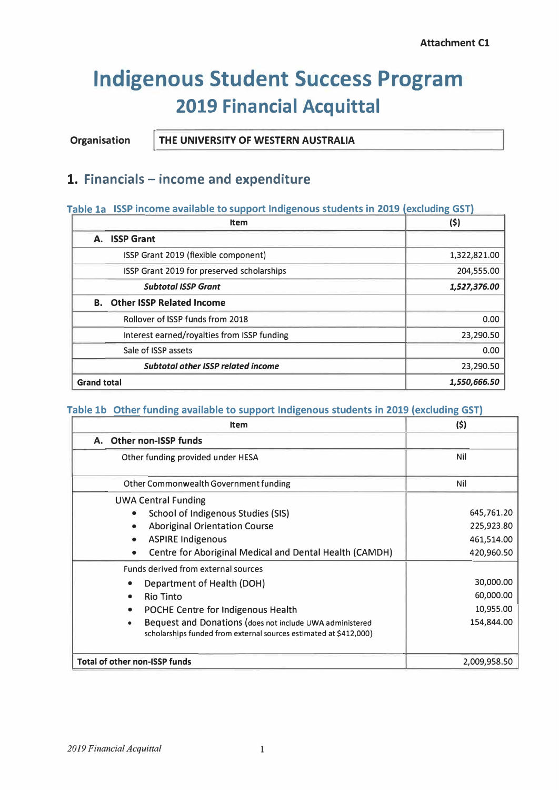# **Indigenous Student Success Program 2019 Financial Acquittal**

THE UNIVERSITY OF WESTERN AUSTRALIA Organisation

### 1. Financials - income and expenditure

### Table 1a ISSP income available to support Indigenous students in 2019 (excluding GST)

| <b>Item</b>                                 | (\$)         |
|---------------------------------------------|--------------|
| A. ISSP Grant                               |              |
| ISSP Grant 2019 (flexible component)        | 1,322,821.00 |
| ISSP Grant 2019 for preserved scholarships  | 204,555.00   |
| <b>Subtotal ISSP Grant</b>                  | 1,527,376.00 |
| <b>B.</b> Other ISSP Related Income         |              |
| Rollover of ISSP funds from 2018            | 0.00         |
| Interest earned/royalties from ISSP funding | 23,290.50    |
| Sale of ISSP assets                         | 0.00         |
| <b>Subtotal other ISSP related income</b>   | 23,290.50    |
| <b>Grand total</b>                          | 1,550,666.50 |

### Table 1b Other funding available to support Indigenous students in 2019 (excluding GST)

| <b>Item</b>                                                                                                                   | (\$)         |
|-------------------------------------------------------------------------------------------------------------------------------|--------------|
| <b>Other non-ISSP funds</b><br>А.                                                                                             |              |
| Other funding provided under HESA                                                                                             | Nil          |
| Other Commonwealth Government funding                                                                                         | Nil          |
| <b>UWA Central Funding</b>                                                                                                    |              |
| School of Indigenous Studies (SIS)                                                                                            | 645,761.20   |
| <b>Aboriginal Orientation Course</b>                                                                                          | 225,923.80   |
| <b>ASPIRE Indigenous</b>                                                                                                      | 461,514.00   |
| <b>Centre for Aboriginal Medical and Dental Health (CAMDH)</b>                                                                | 420,960.50   |
| Funds derived from external sources                                                                                           |              |
| Department of Health (DOH)                                                                                                    | 30,000.00    |
| <b>Rio Tinto</b>                                                                                                              | 60,000.00    |
| POCHE Centre for Indigenous Health                                                                                            | 10,955.00    |
| Bequest and Donations (does not include UWA administered<br>scholarships funded from external sources estimated at \$412,000) | 154,844.00   |
| <b>Total of other non-ISSP funds</b>                                                                                          | 2,009,958.50 |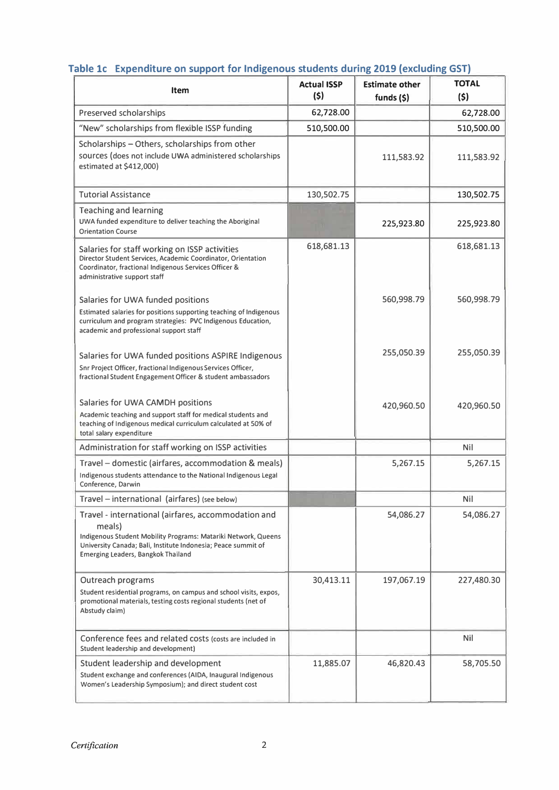| <b>Item</b>                                                                                                                                                                                                                                   | <b>Actual ISSP</b><br>(5) | <b>Estimate other</b><br>funds $(5)$ | <b>TOTAL</b><br>(5) |
|-----------------------------------------------------------------------------------------------------------------------------------------------------------------------------------------------------------------------------------------------|---------------------------|--------------------------------------|---------------------|
| Preserved scholarships                                                                                                                                                                                                                        | 62,728.00                 |                                      | 62,728.00           |
| "New" scholarships from flexible ISSP funding                                                                                                                                                                                                 | 510,500.00                |                                      | 510,500.00          |
| Scholarships - Others, scholarships from other<br>sources (does not include UWA administered scholarships<br>estimated at \$412,000)                                                                                                          |                           | 111,583.92                           | 111,583.92          |
| <b>Tutorial Assistance</b>                                                                                                                                                                                                                    | 130,502.75                |                                      | 130,502.75          |
| <b>Teaching and learning</b><br>UWA funded expenditure to deliver teaching the Aboriginal<br><b>Orientation Course</b>                                                                                                                        |                           | 225,923.80                           | 225,923.80          |
| Salaries for staff working on ISSP activities<br>Director Student Services, Academic Coordinator, Orientation<br>Coordinator, fractional Indigenous Services Officer &<br>administrative support staff                                        | 618,681.13                |                                      | 618,681.13          |
| Salaries for UWA funded positions<br>Estimated salaries for positions supporting teaching of Indigenous<br>curriculum and program strategies: PVC Indigenous Education,<br>academic and professional support staff                            |                           | 560,998.79                           | 560,998.79          |
| Salaries for UWA funded positions ASPIRE Indigenous<br>Snr Project Officer, fractional Indigenous Services Officer,<br>fractional Student Engagement Officer & student ambassadors                                                            |                           | 255,050.39                           | 255,050.39          |
| Salaries for UWA CAMDH positions<br>Academic teaching and support staff for medical students and<br>teaching of Indigenous medical curriculum calculated at 50% of<br>total salary expenditure                                                |                           | 420,960.50                           | 420,960.50          |
| Administration for staff working on ISSP activities                                                                                                                                                                                           |                           |                                      | Nil                 |
| Travel – domestic (airfares, accommodation & meals)<br>Indigenous students attendance to the National Indigenous Legal<br>Conference, Darwin                                                                                                  |                           | 5,267.15                             | 5,267.15            |
| Travel – international (airfares) (see below)                                                                                                                                                                                                 |                           |                                      | Nil                 |
| Travel - international (airfares, accommodation and<br>meals)<br>Indigenous Student Mobility Programs: Matariki Network, Queens<br>University Canada; Bali, Institute Indonesia; Peace summit of<br><b>Emerging Leaders, Bangkok Thailand</b> |                           | 54,086.27                            | 54,086.27           |
| Outreach programs<br>Student residential programs, on campus and school visits, expos,<br>promotional materials, testing costs regional students (net of<br>Abstudy claim)                                                                    | 30,413.11                 | 197,067.19                           | 227,480.30          |
| Conference fees and related costs (costs are included in<br>Student leadership and development)                                                                                                                                               |                           |                                      | <b>Nil</b>          |
| Student leadership and development<br>Student exchange and conferences (AIDA, Inaugural Indigenous<br>Women's Leadership Symposium); and direct student cost                                                                                  | 11,885.07                 | 46,820.43                            | 58,705.50           |

### Table 1c Expenditure on support for Indigenous students during 2019 (excluding GST)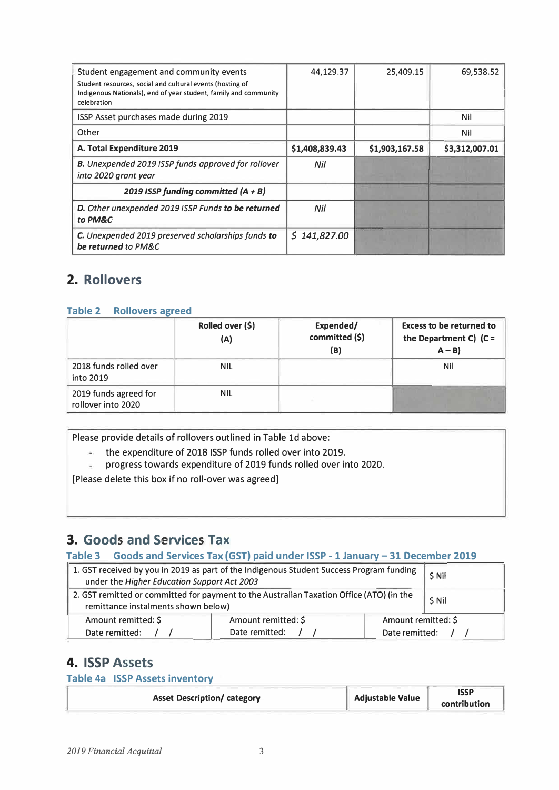| Student engagement and community events                                         | 44,129.37      | 25,409.15      | 69,538.52      |
|---------------------------------------------------------------------------------|----------------|----------------|----------------|
| Student resources, social and cultural events (hosting of                       |                |                |                |
| Indigenous Nationals), end of year student, family and community<br>celebration |                |                |                |
|                                                                                 |                |                |                |
| ISSP Asset purchases made during 2019                                           |                |                | Nil            |
| Other                                                                           |                |                | Nil            |
| A. Total Expenditure 2019                                                       | \$1,408,839.43 | \$1,903,167.58 | \$3,312,007.01 |
| B. Unexpended 2019 ISSP funds approved for rollover                             | Nil            |                |                |
| into 2020 grant year                                                            |                |                |                |
| 2019 ISSP funding committed $(A + B)$                                           |                |                |                |
| D. Other unexpended 2019 ISSP Funds to be returned                              | Nil            |                |                |
| to PM&C                                                                         |                |                |                |
| C. Unexpended 2019 preserved scholarships funds to                              | \$141,827.00   |                |                |
| be returned to PM&C                                                             |                |                |                |

# 2. Rollovers

### Table 2 Rollovers agreed

|                                             | Rolled over (\$)<br>(A) | Expended/<br>committed (\$)<br>(B) | <b>Excess to be returned to</b><br>the Department C) $(C =$<br>$A - B$ |
|---------------------------------------------|-------------------------|------------------------------------|------------------------------------------------------------------------|
| 2018 funds rolled over<br>into 2019         | NIL.                    |                                    | Nil                                                                    |
| 2019 funds agreed for<br>rollover into 2020 | <b>NIL</b>              |                                    |                                                                        |

Please provide details of rollovers outlined in Table 1d above:

- $\omega$ the expenditure of 2018 ISSP funds rolled over into 2019.
- progress towards expenditure of 2019 funds rolled over into 2020.  $\overline{\phantom{a}}$

[Please delete this box if no roll-over was agreed]

### 3. Goods and Services Tax

### Table 3 Goods and Services Tax (GST) paid under ISSP - 1 January - 31 December 2019

| 1. GST received by you in 2019 as part of the Indigenous Student Success Program funding<br>under the Higher Education Support Act 2003 |  |  | \$ Nil  |
|-----------------------------------------------------------------------------------------------------------------------------------------|--|--|---------|
| 2. GST remitted or committed for payment to the Australian Taxation Office (ATO) (in the<br>remittance instalments shown below)         |  |  | $S$ Nil |
| Amount remitted: \$<br>Amount remitted: \$<br>Amount remitted: \$                                                                       |  |  |         |
| Date remitted:<br>Date remitted:<br>Date remitted:                                                                                      |  |  |         |

### **4. ISSP Assets**

Table 4a ISSP Assets inventory

| <b>Asset Description/ category</b> | <b>Adjustable Value</b> | <b>ISSP</b><br>contribution |
|------------------------------------|-------------------------|-----------------------------|
|------------------------------------|-------------------------|-----------------------------|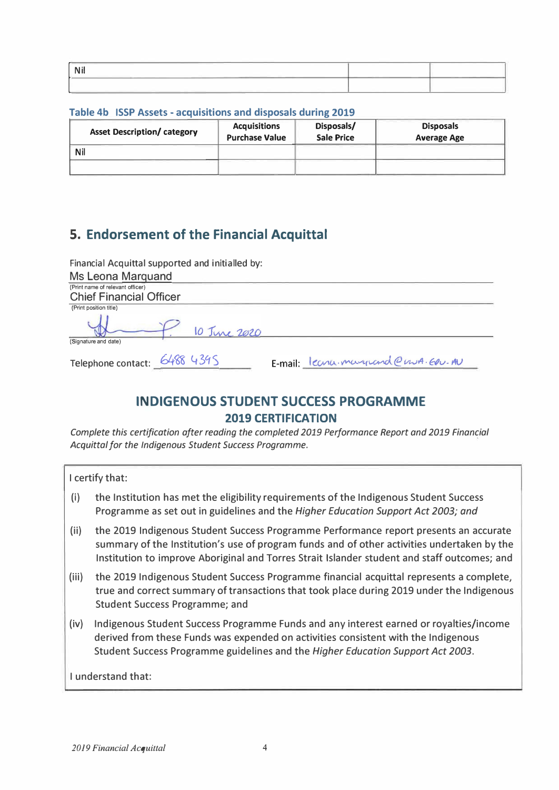| ____<br>$\sim$<br>the contract of the contract of the con-<br>________ | the contract of the contract of the contract of |  |
|------------------------------------------------------------------------|-------------------------------------------------|--|
|                                                                        |                                                 |  |

### Table 4b ISSP Assets - acquisitions and disposals during 2019

| <b>Asset Description/ category</b> | <b>Acquisitions</b><br><b>Purchase Value</b> | Disposals/<br><b>Sale Price</b> | <b>Disposals</b><br><b>Average Age</b> |
|------------------------------------|----------------------------------------------|---------------------------------|----------------------------------------|
| Nil                                |                                              |                                 |                                        |
|                                    |                                              |                                 |                                        |

# 5. Endorsement of the Financial Acquittal

| Financial Acquittal supported and initialled by: |                                   |  |  |  |  |
|--------------------------------------------------|-----------------------------------|--|--|--|--|
| Ms Leona Marquand                                |                                   |  |  |  |  |
| (Print name of relevant officer)                 |                                   |  |  |  |  |
| <b>Chief Financial Officer</b>                   |                                   |  |  |  |  |
| (Print position title)                           |                                   |  |  |  |  |
| 10 June 2020<br>(Signature and date)             |                                   |  |  |  |  |
|                                                  |                                   |  |  |  |  |
| Telephone contact: 6488 4395                     | E-mail: leanumergrand@nura.EDU.AU |  |  |  |  |

### **INDIGENOUS STUDENT SUCCESS PROGRAMME 2019 CERTIFICATION**

Complete this certification after reading the completed 2019 Performance Report and 2019 Financial Acquittal for the Indigenous Student Success Programme.

| I certify that:    |                                                                                                                                                                                                                                                                                      |  |  |  |
|--------------------|--------------------------------------------------------------------------------------------------------------------------------------------------------------------------------------------------------------------------------------------------------------------------------------|--|--|--|
| (i)                | the Institution has met the eligibility requirements of the Indigenous Student Success<br>Programme as set out in guidelines and the Higher Education Support Act 2003; and                                                                                                          |  |  |  |
| (ii)               | the 2019 Indigenous Student Success Programme Performance report presents an accurate<br>summary of the Institution's use of program funds and of other activities undertaken by the<br>Institution to improve Aboriginal and Torres Strait Islander student and staff outcomes; and |  |  |  |
| (iii)              | the 2019 Indigenous Student Success Programme financial acquittal represents a complete,<br>true and correct summary of transactions that took place during 2019 under the Indigenous<br><b>Student Success Programme; and</b>                                                       |  |  |  |
| (iv)               | Indigenous Student Success Programme Funds and any interest earned or royalties/income<br>derived from these Funds was expended on activities consistent with the Indigenous<br>Student Success Programme guidelines and the Higher Education Support Act 2003.                      |  |  |  |
| I understand that: |                                                                                                                                                                                                                                                                                      |  |  |  |